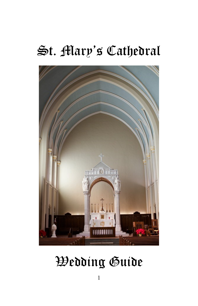## St. Mary's Cathedral



# Wedding Guide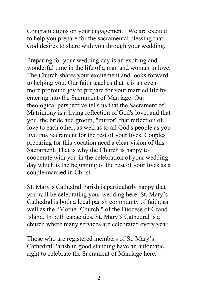Congratulations on your engagement. We are excited to help you prepare for the sacramental blessing that God desires to share with you through your wedding.

Preparing for your wedding day is an exciting and wonderful time in the life of a man and woman in love. The Church shares your excitement and looks forward to helping you. Our faith teaches that it is an even more profound joy to prepare for your married life by entering into the Sacrament of Marriage. Our theological perspective tells us that the Sacrament of Matrimony is a living reflection of God's love, and that you, the bride and groom, "mirror" that reflection of love to each other, as well as to all God's people as you live this Sacrament for the rest of your lives. Couples preparing for this vocation need a clear vision of this Sacrament. That is why the Church is happy to cooperate with you in the celebration of your wedding day which is the beginning of the rest of your lives as a couple married in Christ.

St. Mary's Cathedral Parish is particularly happy that you will be celebrating your wedding here. St. Mary's Cathedral is both a local parish community of faith, as well as the "Mother Church " of the Diocese of Grand Island. In both capacities, St. Mary's Cathedral is a church where many services are celebrated every year.

Those who are registered members of St. Mary's Cathedral Parish in good standing have an automatic right to celebrate the Sacrament of Marriage here.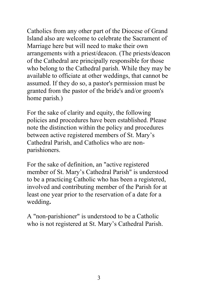Catholics from any other part of the Diocese of Grand Island also are welcome to celebrate the Sacrament of Marriage here but will need to make their own arrangements with a priest/deacon. (The priests/deacon of the Cathedral are principally responsible for those who belong to the Cathedral parish. While they may be available to officiate at other weddings, that cannot be assumed. If they do so, a pastor's permission must be granted from the pastor of the bride's and/or groom's home parish.)

For the sake of clarity and equity, the following policies and procedures have been established. Please note the distinction within the policy and procedures between active registered members of St. Mary's Cathedral Parish, and Catholics who are nonparishioners.

For the sake of definition, an "active registered member of St. Mary's Cathedral Parish" is understood to be a practicing Catholic who has been a registered, involved and contributing member of the Parish for at least one year prior to the reservation of a date for a wedding**.**

A "non-parishioner" is understood to be a Catholic who is not registered at St. Mary's Cathedral Parish.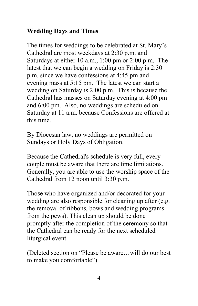## **Wedding Days and Times**

The times for weddings to be celebrated at St. Mary's Cathedral are most weekdays at 2:30 p.m. and Saturdays at either 10 a.m., 1:00 pm or 2:00 p.m. The latest that we can begin a wedding on Friday is 2:30 p.m. since we have confessions at 4:45 pm and evening mass at 5:15 pm. The latest we can start a wedding on Saturday is 2:00 p.m. This is because the Cathedral has masses on Saturday evening at 4:00 pm and 6:00 pm. Also, no weddings are scheduled on Saturday at 11 a.m. because Confessions are offered at this time.

By Diocesan law, no weddings are permitted on Sundays or Holy Days of Obligation.

Because the Cathedral's schedule is very full, every couple must be aware that there are time limitations. Generally, you are able to use the worship space of the Cathedral from 12 noon until 3:30 p.m.

Those who have organized and/or decorated for your wedding are also responsible for cleaning up after (e.g. the removal of ribbons, bows and wedding programs from the pews). This clean up should be done promptly after the completion of the ceremony so that the Cathedral can be ready for the next scheduled liturgical event.

(Deleted section on "Please be aware…will do our best to make you comfortable")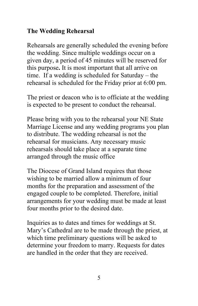#### **The Wedding Rehearsal**

Rehearsals are generally scheduled the evening before the wedding. Since multiple weddings occur on a given day, a period of 45 minutes will be reserved for this purpose**.** It is most important that all arrive on time. If a wedding is scheduled for Saturday – the rehearsal is scheduled for the Friday prior at 6:00 pm.

The priest or deacon who is to officiate at the wedding is expected to be present to conduct the rehearsal.

Please bring with you to the rehearsal your NE State Marriage License and any wedding programs you plan to distribute. The wedding rehearsal is not the rehearsal for musicians. Any necessary music rehearsals should take place at a separate time arranged through the music office

The Diocese of Grand Island requires that those wishing to be married allow a minimum of four months for the preparation and assessment of the engaged couple to be completed. Therefore, initial arrangements for your wedding must be made at least four months prior to the desired date.

Inquiries as to dates and times for weddings at St. Mary's Cathedral are to be made through the priest, at which time preliminary questions will be asked to determine your freedom to marry. Requests for dates are handled in the order that they are received.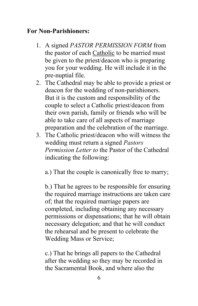#### **For Non-Parishioners:**

- 1. A signed *PASTOR PERMISSION FORM* from the pastor of each Catholic to be married must be given to the priest/deacon who is preparing you for your wedding. He will include it in the pre-nuptial file.
- 2. The Cathedral may be able to provide a priest or deacon for the wedding of non-parishioners. But it is the custom and responsibility of the couple to select a Catholic priest/deacon from their own parish, family or friends who will be able to take care of all aspects of marriage preparation and the celebration of the marriage.
- 3. The Catholic priest/deacon who will witness the wedding must return a signed *Pastors Permission Letter to* the Pastor of the Cathedral indicating the following:

a.) That the couple is canonically free to marry;

b.) That he agrees to be responsible for ensuring the required marriage instructions are taken care of; that the required marriage papers are completed, including obtaining any necessary permissions or dispensations; that he will obtain necessary delegation; and that he will conduct the rehearsal and be present to celebrate the Wedding Mass or Service;

c.) That he brings all papers to the Cathedral after the wedding so they may be recorded in the Sacramental Book, and where also the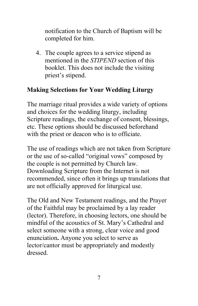notification to the Church of Baptism will be completed for him.

4. The couple agrees to a service stipend as mentioned in the *STIPEND* section of this booklet. This does not include the visiting priest's stipend.

#### **Making Selections for Your Wedding Liturgy**

The marriage ritual provides a wide variety of options and choices for the wedding liturgy, including Scripture readings, the exchange of consent, blessings, etc. These options should be discussed beforehand with the priest or deacon who is to officiate.

The use of readings which are not taken from Scripture or the use of so-called "original vows" composed by the couple is not permitted by Church law. Downloading Scripture from the Internet is not recommended, since often it brings up translations that are not officially approved for liturgical use.

The Old and New Testament readings, and the Prayer of the Faithful may be proclaimed by a lay reader (lector). Therefore, in choosing lectors, one should be mindful of the acoustics of St. Mary's Cathedral and select someone with a strong, clear voice and good enunciation**.** Anyone you select to serve as lector/cantor must be appropriately and modestly dressed.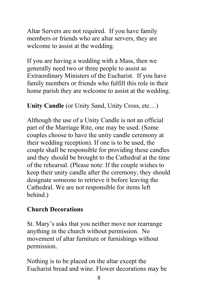Altar Servers are not required. If you have family members or friends who are altar servers, they are welcome to assist at the wedding.

If you are having a wedding with a Mass, then we generally need two or three people to assist as Extraordinary Ministers of the Eucharist. If you have family members or friends who fulfill this role in their home parish they are welcome to assist at the wedding.

**Unity Candle** (or Unity Sand, Unity Cross, etc…)

Although the use of a Unity Candle is not an official part of the Marriage Rite, one may be used. (Some couples choose to have the unity candle ceremony at their wedding reception). If one is to be used, the couple shall be responsible for providing these candles and they should be brought to the Cathedral at the time of the rehearsal. (Please note: If the couple wishes to keep their unity candle after the ceremony, they should designate someone to retrieve it before leaving the Cathedral. We are not responsible for items left behind.)

#### **Church Decorations**

St. Mary's asks that you neither move nor rearrange anything in the church without permission. No movement of altar furniture or furnishings without permission.

Nothing is to be placed on the altar except the Eucharist bread and wine. Flower decorations may be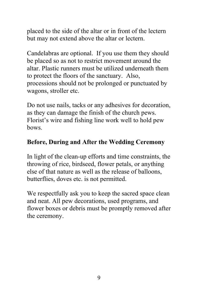placed to the side of the altar or in front of the lectern but may not extend above the altar or lectern.

Candelabras are optional. If you use them they should be placed so as not to restrict movement around the altar. Plastic runners must be utilized underneath them to protect the floors of the sanctuary. Also, processions should not be prolonged or punctuated by wagons, stroller etc.

Do not use nails, tacks or any adhesives for decoration, as they can damage the finish of the church pews. Florist's wire and fishing line work well to hold pew bows.

#### **Before, During and After the Wedding Ceremony**

In light of the clean-up efforts and time constraints, the throwing of rice, birdseed, flower petals, or anything else of that nature as well as the release of balloons, butterflies, doves etc. is not permitted.

We respectfully ask you to keep the sacred space clean and neat. All pew decorations, used programs, and flower boxes or debris must be promptly removed after the ceremony.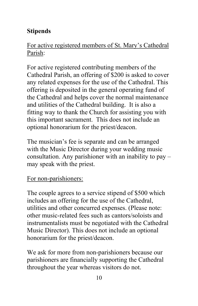## **Stipends**

## For active registered members of St. Mary's Cathedral Parish:

For active registered contributing members of the Cathedral Parish, an offering of \$200 is asked to cover any related expenses for the use of the Cathedral. This offering is deposited in the general operating fund of the Cathedral and helps cover the normal maintenance and utilities of the Cathedral building. It is also a fitting way to thank the Church for assisting you with this important sacrament. This does not include an optional honorarium for the priest/deacon.

The musician's fee is separate and can be arranged with the Music Director during your wedding music consultation. Any parishioner with an inability to pay – may speak with the priest.

#### For non-parishioners:

The couple agrees to a service stipend of \$500 which includes an offering for the use of the Cathedral, utilities and other concurred expenses. (Please note: other music-related fees such as cantors/soloists and instrumentalists must be negotiated with the Cathedral Music Director). This does not include an optional honorarium for the priest/deacon.

We ask for more from non-parishioners because our parishioners are financially supporting the Cathedral throughout the year whereas visitors do not.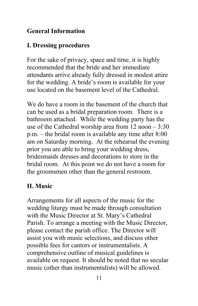## **General Information**

## **I. Dressing procedures**

For the sake of privacy, space and time, it is highly recommended that the bride and her immediate attendants arrive already fully dressed in modest attire for the wedding. A bride's room is available for your use located on the basement level of the Cathedral.

We do have a room in the basement of the church that can be used as a bridal preparation room. There is a bathroom attached. While the wedding party has the use of the Cathedral worship area from 12 noon – 3:30 p.m. – the bridal room is available any time after 8:00 am on Saturday morning. At the rehearsal the evening prior you are able to bring your wedding dress, bridesmaids dresses and decorations to store in the bridal room. At this point we do not have a room for the groomsmen other than the general restroom.

## **II. Music**

Arrangements for all aspects of the music for the wedding liturgy must be made through consultation with the Music Director at St. Mary's Cathedral Parish. To arrange a meeting with the Music Director, please contact the parish office. The Director will assist you with music selections, and discuss other possible fees for cantors or instrumentalists. A comprehensive outline of musical guidelines is available on request. It should be noted that no secular music (other than instrumentalists) will be allowed.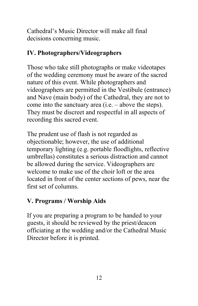Cathedral's Music Director will make all final decisions concerning music.

#### **IV. Photographers/Videographers**

Those who take still photographs or make videotapes of the wedding ceremony must be aware of the sacred nature of this event. While photographers and videographers are permitted in the Vestibule (entrance) and Nave (main body) of the Cathedral, they are not to come into the sanctuary area (i.e. – above the steps). They must be discreet and respectful in all aspects of recording this sacred event.

The prudent use of flash is not regarded as objectionable; however, the use of additional temporary lighting (e.g. portable floodlights, reflective umbrellas) constitutes a serious distraction and cannot be allowed during the service. Videographers are welcome to make use of the choir loft or the area located in front of the center sections of pews, near the first set of columns.

## **V. Programs / Worship Aids**

If you are preparing a program to be handed to your guests, it should be reviewed by the priest/deacon officiating at the wedding and/or the Cathedral Music Director before it is printed.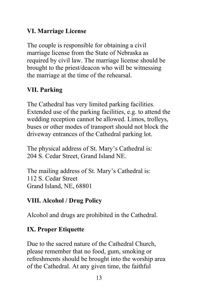## **VI. Marriage License**

The couple is responsible for obtaining a civil marriage license from the State of Nebraska as required by civil law. The marriage license should be brought to the priest/deacon who will be witnessing the marriage at the time of the rehearsal.

## **VII. Parking**

The Cathedral has very limited parking facilities. Extended use of the parking facilities, e.g. to attend the wedding reception cannot be allowed. Limos, trolleys, buses or other modes of transport should not block the driveway entrances of the Cathedral parking lot.

The physical address of St. Mary's Cathedral is: 204 S. Cedar Street, Grand Island NE.

The mailing address of St. Mary's Cathedral is: 112 S. Cedar Street Grand Island, NE, 68801

#### **VIII. Alcohol / Drug Policy**

Alcohol and drugs are prohibited in the Cathedral.

#### **IX. Proper Etiquette**

Due to the sacred nature of the Cathedral Church, please remember that no food, gum, smoking or refreshments should be brought into the worship area of the Cathedral. At any given time, the faithful